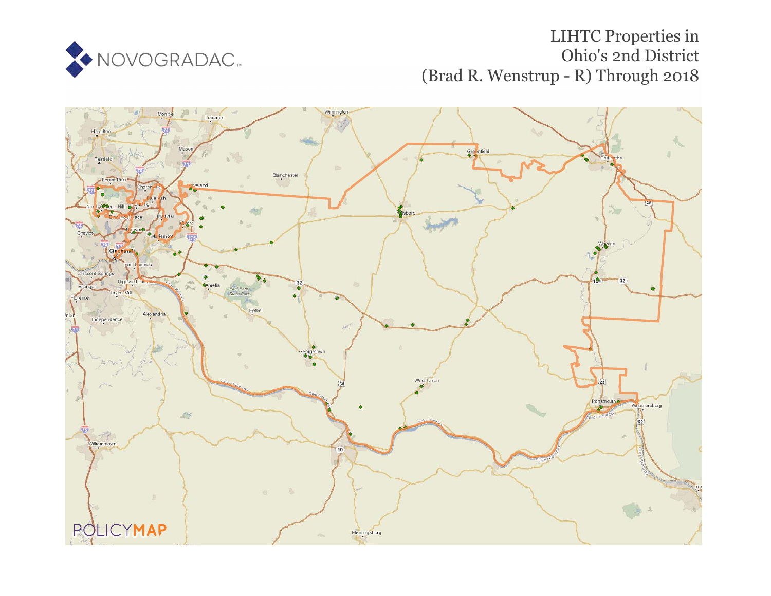

# LIHTC Properties in Ohio's 2nd District (Brad R. Wenstrup - R) Through 2018

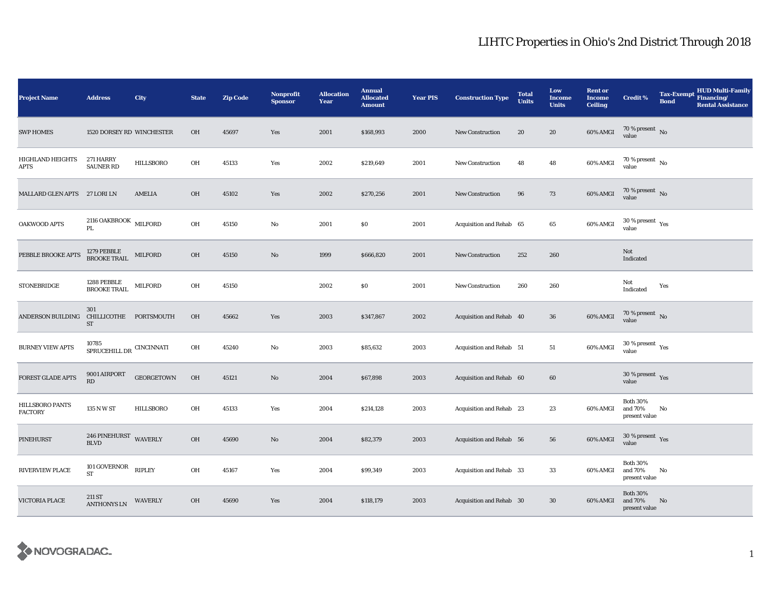| <b>Project Name</b>                      | <b>Address</b>                         | City              | <b>State</b> | <b>Zip Code</b> | <b>Nonprofit</b><br><b>Sponsor</b> | <b>Allocation</b><br>Year | <b>Annual</b><br><b>Allocated</b><br><b>Amount</b> | <b>Year PIS</b> | <b>Construction Type</b> | <b>Total</b><br><b>Units</b> | Low<br><b>Income</b><br><b>Units</b> | <b>Rent or</b><br><b>Income</b><br><b>Ceiling</b> | <b>Credit %</b>                             | <b>Tax-Exempt</b><br><b>Bond</b> | HUD Multi-Family<br>Financing/<br><b>Rental Assistance</b> |
|------------------------------------------|----------------------------------------|-------------------|--------------|-----------------|------------------------------------|---------------------------|----------------------------------------------------|-----------------|--------------------------|------------------------------|--------------------------------------|---------------------------------------------------|---------------------------------------------|----------------------------------|------------------------------------------------------------|
| <b>SWP HOMES</b>                         | 1520 DORSEY RD WINCHESTER              |                   | OH           | 45697           | Yes                                | 2001                      | \$168,993                                          | 2000            | <b>New Construction</b>  | 20                           | 20                                   | 60% AMGI                                          | $70$ % present $\,$ No value                |                                  |                                                            |
| <b>HIGHLAND HEIGHTS</b><br>APTS          | 271 HARRY<br><b>SAUNER RD</b>          | HILLSBORO         | OH           | 45133           | Yes                                | 2002                      | \$219,649                                          | 2001            | <b>New Construction</b>  | 48                           | 48                                   | 60% AMGI                                          | $70\,\%$ present $\,$ No value              |                                  |                                                            |
| MALLARD GLEN APTS 27 LORI LN             |                                        | <b>AMELIA</b>     | OH           | 45102           | Yes                                | 2002                      | \$270,256                                          | 2001            | <b>New Construction</b>  | 96                           | 73                                   | 60% AMGI                                          | $70$ % present $_{\rm{No}}$                 |                                  |                                                            |
| <b>OAKWOOD APTS</b>                      | $2116$ OAKBROOK $\quad$ MILFORD<br>PL  |                   | OH           | 45150           | $\mathbf{No}$                      | 2001                      | \$0                                                | 2001            | Acquisition and Rehab 65 |                              | 65                                   | 60% AMGI                                          | $30\,\%$ present $\,$ Yes value             |                                  |                                                            |
| PEBBLE BROOKE APTS                       | 1279 PEBBLE<br>BROOKE TRAIL            | <b>MILFORD</b>    | OH           | 45150           | No                                 | 1999                      | \$666,820                                          | 2001            | <b>New Construction</b>  | 252                          | 260                                  |                                                   | Not<br>Indicated                            |                                  |                                                            |
| STONEBRIDGE                              | 1288 PEBBLE<br>BROOKE TRAIL            | <b>MILFORD</b>    | OH           | 45150           |                                    | 2002                      | \$0                                                | 2001            | <b>New Construction</b>  | 260                          | 260                                  |                                                   | Not<br>Indicated                            | Yes                              |                                                            |
| ANDERSON BUILDING                        | 301<br>CHILLICOTHE PORTSMOUTH<br>ST    |                   | OH           | 45662           | Yes                                | 2003                      | \$347,867                                          | 2002            | Acquisition and Rehab 40 |                              | ${\bf 36}$                           | 60% AMGI                                          | $70\,\%$ present $\,$ No value              |                                  |                                                            |
| <b>BURNEY VIEW APTS</b>                  | 10785<br>SPRUCEHILL DR CINCINNATI      |                   | OH           | 45240           | No                                 | 2003                      | \$85,632                                           | 2003            | Acquisition and Rehab 51 |                              | 51                                   | 60% AMGI                                          | $30$ % present $\,$ $\rm Yes$<br>value      |                                  |                                                            |
| <b>FOREST GLADE APTS</b>                 | 9001 AIRPORT<br>RD                     | <b>GEORGETOWN</b> | OH           | 45121           | $\mathbf{N}\mathbf{o}$             | 2004                      | \$67,898                                           | 2003            | Acquisition and Rehab 60 |                              | 60                                   |                                                   | $30\,\%$ present $\,$ Yes value             |                                  |                                                            |
| <b>HILLSBORO PANTS</b><br><b>FACTORY</b> | 135 N W ST                             | <b>HILLSBORO</b>  | OH           | 45133           | Yes                                | 2004                      | \$214,128                                          | 2003            | Acquisition and Rehab 23 |                              | 23                                   | 60% AMGI                                          | <b>Both 30%</b><br>and 70%<br>present value | No                               |                                                            |
| PINEHURST                                | 246 PINEHURST WAVERLY<br><b>BLVD</b>   |                   | OH           | 45690           | No                                 | 2004                      | \$82,379                                           | 2003            | Acquisition and Rehab 56 |                              | 56                                   | 60% AMGI                                          | $30\,\%$ present $\,$ Yes value             |                                  |                                                            |
| RIVERVIEW PLACE                          | $101\,\mathrm{GOVERNOR}$<br>${\rm ST}$ | <b>RIPLEY</b>     | OH           | 45167           | Yes                                | 2004                      | \$99,349                                           | 2003            | Acquisition and Rehab 33 |                              | 33                                   | 60% AMGI                                          | <b>Both 30%</b><br>and 70%<br>present value | No                               |                                                            |
| VICTORIA PLACE                           | 211 ST<br><b>ANTHONYS LN</b>           | <b>WAVERLY</b>    | OH           | 45690           | Yes                                | 2004                      | \$118,179                                          | 2003            | Acquisition and Rehab 30 |                              | 30                                   | 60% AMGI                                          | <b>Both 30%</b><br>and 70%<br>present value | No                               |                                                            |

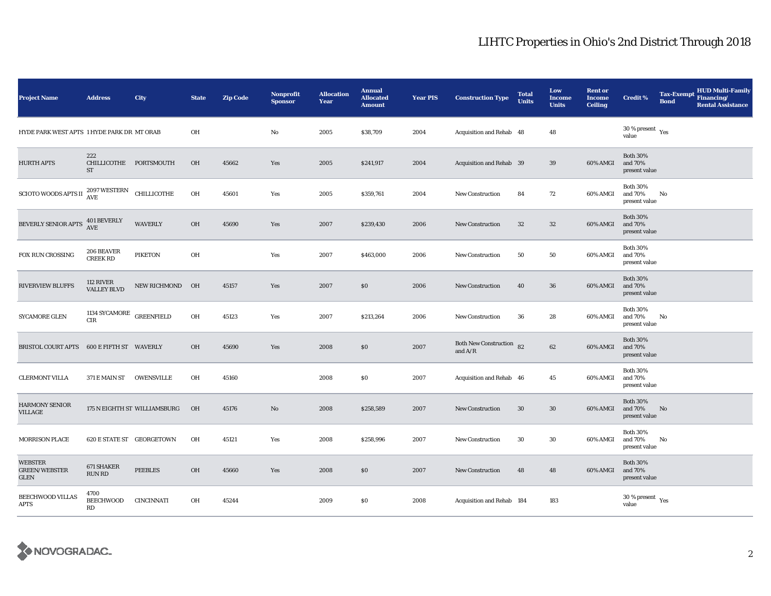| <b>Project Name</b>                                   | <b>Address</b>                             | <b>City</b>                  | <b>State</b> | <b>Zip Code</b> | <b>Nonprofit</b><br><b>Sponsor</b> | <b>Allocation</b><br>Year | <b>Annual</b><br><b>Allocated</b><br><b>Amount</b> | <b>Year PIS</b> | <b>Construction Type</b>              | <b>Total</b><br><b>Units</b> | Low<br><b>Income</b><br><b>Units</b> | <b>Rent or</b><br><b>Income</b><br><b>Ceiling</b> | <b>Credit %</b>                             | <b>Tax-Exempt</b><br><b>Bond</b> | <b>HUD Multi-Family</b><br>Financing/<br><b>Rental Assistance</b> |
|-------------------------------------------------------|--------------------------------------------|------------------------------|--------------|-----------------|------------------------------------|---------------------------|----------------------------------------------------|-----------------|---------------------------------------|------------------------------|--------------------------------------|---------------------------------------------------|---------------------------------------------|----------------------------------|-------------------------------------------------------------------|
| HYDE PARK WEST APTS 1 HYDE PARK DR MT ORAB            |                                            |                              | OH           |                 | No                                 | 2005                      | \$38,709                                           | 2004            | Acquisition and Rehab 48              |                              | 48                                   |                                                   | $30\,\%$ present $\,$ $\rm Yes$<br>value    |                                  |                                                                   |
| <b>HURTH APTS</b>                                     | 222<br>CHILLICOTHE PORTSMOUTH<br><b>ST</b> |                              | OH           | 45662           | Yes                                | 2005                      | \$241,917                                          | 2004            | Acquisition and Rehab 39              |                              | 39                                   | 60% AMGI                                          | <b>Both 30%</b><br>and 70%<br>present value |                                  |                                                                   |
| SCIOTO WOODS APTS II                                  | 2097 WESTERN<br>AVE                        | CHILLICOTHE                  | OH           | 45601           | Yes                                | 2005                      | \$359,761                                          | 2004            | <b>New Construction</b>               | 84                           | 72                                   | 60% AMGI                                          | <b>Both 30%</b><br>and 70%<br>present value | No                               |                                                                   |
| BEVERLY SENIOR APTS                                   | 401 BEVERLY<br><b>AVE</b>                  | <b>WAVERLY</b>               | OH           | 45690           | Yes                                | 2007                      | \$239,430                                          | 2006            | <b>New Construction</b>               | 32                           | $32\,$                               | 60% AMGI                                          | <b>Both 30%</b><br>and 70%<br>present value |                                  |                                                                   |
| FOX RUN CROSSING                                      | 206 BEAVER<br><b>CREEK RD</b>              | <b>PIKETON</b>               | OH           |                 | Yes                                | 2007                      | \$463,000                                          | 2006            | New Construction                      | 50                           | 50                                   | 60% AMGI                                          | <b>Both 30%</b><br>and 70%<br>present value |                                  |                                                                   |
| <b>RIVERVIEW BLUFFS</b>                               | 112 RIVER<br><b>VALLEY BLVD</b>            | NEW RICHMOND OH              |              | 45157           | Yes                                | 2007                      | \$0                                                | 2006            | <b>New Construction</b>               | 40                           | 36                                   | 60% AMGI                                          | <b>Both 30%</b><br>and 70%<br>present value |                                  |                                                                   |
| <b>SYCAMORE GLEN</b>                                  | 1134 SYCAMORE GREENFIELD<br>CIR            |                              | OH           | 45123           | Yes                                | 2007                      | \$213,264                                          | 2006            | New Construction                      | 36                           | 28                                   | 60% AMGI                                          | <b>Both 30%</b><br>and 70%<br>present value | No                               |                                                                   |
| <b>BRISTOL COURT APTS</b>                             | <b>600 E FIFTH ST WAVERLY</b>              |                              | OH           | 45690           | Yes                                | 2008                      | \$0                                                | 2007            | Both New Construction 82<br>and $A/R$ |                              | 62                                   | 60% AMGI                                          | <b>Both 30%</b><br>and 70%<br>present value |                                  |                                                                   |
| <b>CLERMONT VILLA</b>                                 | 371 E MAIN ST                              | OWENSVILLE                   | OH           | 45160           |                                    | 2008                      | \$0                                                | 2007            | Acquisition and Rehab 46              |                              | 45                                   | 60% AMGI                                          | <b>Both 30%</b><br>and 70%<br>present value |                                  |                                                                   |
| <b>HARMONY SENIOR</b><br>VILLAGE                      |                                            | 175 N EIGHTH ST WILLIAMSBURG | OH           | 45176           | No                                 | 2008                      | \$258,589                                          | 2007            | <b>New Construction</b>               | $30\,$                       | 30                                   | 60% AMGI                                          | <b>Both 30%</b><br>and 70%<br>present value | No                               |                                                                   |
| <b>MORRISON PLACE</b>                                 | 620 E STATE ST GEORGETOWN                  |                              | OH           | 45121           | Yes                                | 2008                      | \$258,996                                          | 2007            | <b>New Construction</b>               | 30                           | 30                                   | 60% AMGI                                          | <b>Both 30%</b><br>and 70%<br>present value | No                               |                                                                   |
| <b>WEBSTER</b><br><b>GREEN/WEBSTER</b><br><b>GLEN</b> | 671 SHAKER<br><b>RUN RD</b>                | <b>PEEBLES</b>               | OH           | 45660           | Yes                                | 2008                      | \$0                                                | 2007            | New Construction                      | 48                           | 48                                   | 60% AMGI                                          | <b>Both 30%</b><br>and 70%<br>present value |                                  |                                                                   |
| <b>BEECHWOOD VILLAS</b><br>APTS                       | 4700<br><b>BEECHWOOD</b><br>RD             | <b>CINCINNATI</b>            | OH           | 45244           |                                    | 2009                      | \$0                                                | 2008            | Acquisition and Rehab 184             |                              | 183                                  |                                                   | $30$ % present $\,$ $\rm Yes$<br>value      |                                  |                                                                   |

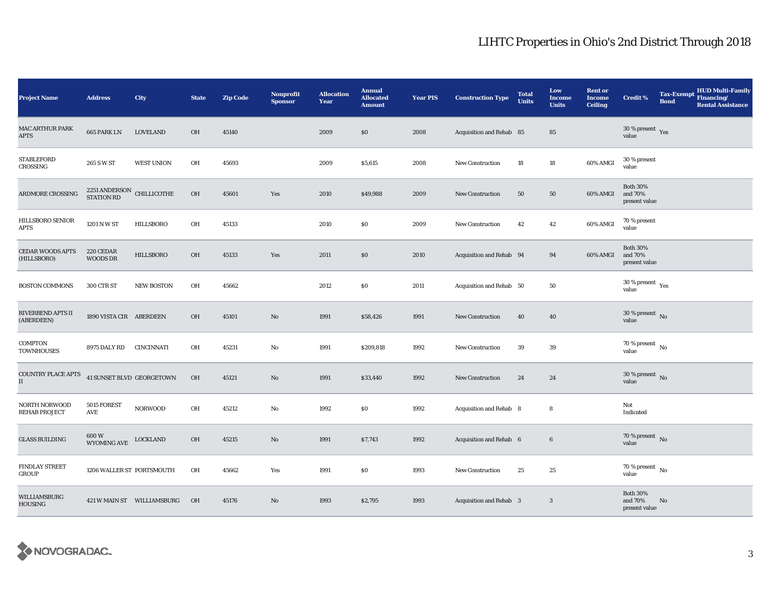| <b>Project Name</b>                    | <b>Address</b>                                   | City                       | <b>State</b> | <b>Zip Code</b> | Nonprofit<br><b>Sponsor</b> | <b>Allocation</b><br>Year | <b>Annual</b><br><b>Allocated</b><br><b>Amount</b> | <b>Year PIS</b> | <b>Construction Type</b>       | <b>Total</b><br><b>Units</b> | Low<br><b>Income</b><br><b>Units</b> | <b>Rent or</b><br><b>Income</b><br><b>Ceiling</b> | <b>Credit %</b>                             | <b>Tax-Exempt</b><br><b>Bond</b> | <b>HUD Multi-Family</b><br>Financing/<br><b>Rental Assistance</b> |
|----------------------------------------|--------------------------------------------------|----------------------------|--------------|-----------------|-----------------------------|---------------------------|----------------------------------------------------|-----------------|--------------------------------|------------------------------|--------------------------------------|---------------------------------------------------|---------------------------------------------|----------------------------------|-------------------------------------------------------------------|
| <b>MAC ARTHUR PARK</b><br><b>APTS</b>  | 665 PARK LN                                      | <b>LOVELAND</b>            | OH           | 45140           |                             | 2009                      | \$0                                                | 2008            | Acquisition and Rehab 85       |                              | 85                                   |                                                   | $30$ % present $\,$ $\rm Yes$<br>value      |                                  |                                                                   |
| <b>STABLEFORD</b><br>CROSSING          | 265 S W ST                                       | <b>WEST UNION</b>          | OH           | 45693           |                             | 2009                      | \$5,615                                            | 2008            | <b>New Construction</b>        | 18                           | 18                                   | 60% AMGI                                          | 30 % present<br>value                       |                                  |                                                                   |
| ARDMORE CROSSING                       | $2251\,\mathrm{ANDERSON}$ CHILLICOTHE STATION RD |                            | OH           | 45601           | Yes                         | 2010                      | \$49,988                                           | 2009            | New Construction               | 50                           | 50                                   | 60% AMGI                                          | <b>Both 30%</b><br>and 70%<br>present value |                                  |                                                                   |
| HILLSBORO SENIOR<br><b>APTS</b>        | 1201 N W ST                                      | <b>HILLSBORO</b>           | OH           | 45133           |                             | 2010                      | \$0                                                | 2009            | <b>New Construction</b>        | 42                           | 42                                   | 60% AMGI                                          | 70 % present<br>value                       |                                  |                                                                   |
| <b>CEDAR WOODS APTS</b><br>(HILLSBORO) | 220 CEDAR<br><b>WOODS DR</b>                     | <b>HILLSBORO</b>           | OH           | 45133           | Yes                         | 2011                      | \$0                                                | 2010            | Acquisition and Rehab 94       |                              | 94                                   | 60% AMGI                                          | <b>Both 30%</b><br>and 70%<br>present value |                                  |                                                                   |
| <b>BOSTON COMMONS</b>                  | 300 CTR ST                                       | <b>NEW BOSTON</b>          | OH           | 45662           |                             | 2012                      | \$0                                                | 2011            | Acquisition and Rehab 50       |                              | 50                                   |                                                   | $30\,\%$ present $\,$ $\rm Yes$<br>value    |                                  |                                                                   |
| RIVERBEND APTS II<br>(ABERDEEN)        | 1890 VISTA CIR ABERDEEN                          |                            | OH           | 45101           | No                          | 1991                      | \$58,426                                           | 1991            | <b>New Construction</b>        | 40                           | 40                                   |                                                   | 30 % present $\,$ No $\,$<br>value          |                                  |                                                                   |
| COMPTON<br><b>TOWNHOUSES</b>           | 8975 DALY RD                                     | <b>CINCINNATI</b>          | OH           | 45231           | No                          | 1991                      | \$209,818                                          | 1992            | <b>New Construction</b>        | 39                           | 39                                   |                                                   | 70 % present $\,$ No $\,$<br>value          |                                  |                                                                   |
| COUNTRY PLACE APTS<br>$\mathbf{I}$     | 41 SUNSET BLVD GEORGETOWN                        |                            | OH           | 45121           | No                          | 1991                      | \$33,440                                           | 1992            | <b>New Construction</b>        | 24                           | 24                                   |                                                   | 30 % present $\overline{N_0}$<br>value      |                                  |                                                                   |
| NORTH NORWOOD<br>REHAB PROJECT         | 5015 FOREST<br><b>AVE</b>                        | <b>NORWOOD</b>             | OH           | 45212           | No                          | 1992                      | \$0\$                                              | 1992            | Acquisition and Rehab 8        |                              | 8                                    |                                                   | Not<br>Indicated                            |                                  |                                                                   |
| <b>GLASS BUILDING</b>                  | 600W<br><b>WYOMING AVE</b>                       | <b>LOCKLAND</b>            | OH           | 45215           | No                          | 1991                      | \$7,743                                            | 1992            | Acquisition and Rehab 6        |                              | $\boldsymbol{6}$                     |                                                   | 70 % present $\,$ No $\,$<br>value          |                                  |                                                                   |
| <b>FINDLAY STREET</b><br><b>GROUP</b>  | 1206 WALLER ST PORTSMOUTH                        |                            | OH           | 45662           | Yes                         | 1991                      | \$0                                                | 1993            | <b>New Construction</b>        | 25                           | 25                                   |                                                   | $70$ % present $\,$ No $\,$<br>value        |                                  |                                                                   |
| WILLIAMSBURG<br><b>HOUSING</b>         |                                                  | 421 W MAIN ST WILLIAMSBURG | OH           | 45176           | No                          | 1993                      | \$2,795                                            | 1993            | <b>Acquisition and Rehab</b> 3 |                              | 3                                    |                                                   | <b>Both 30%</b><br>and 70%<br>present value | No                               |                                                                   |

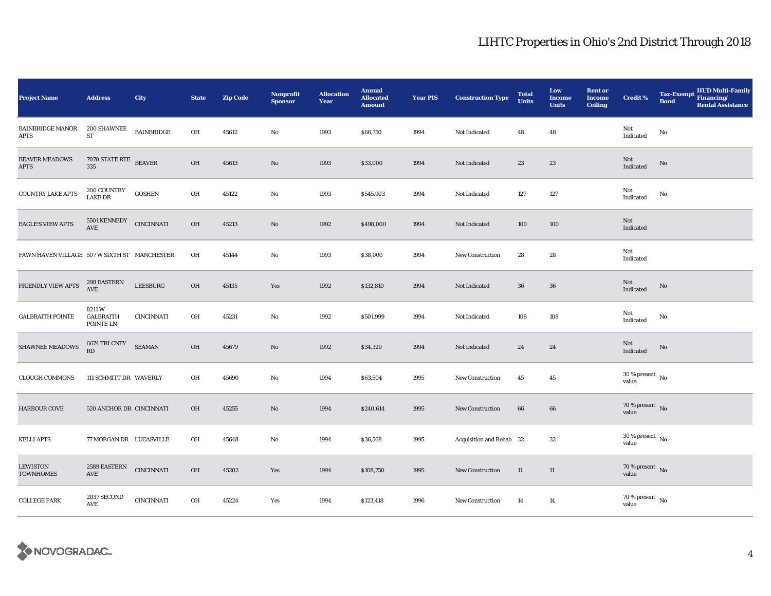| <b>Project Name</b>                          | <b>Address</b>                                | City              | <b>State</b> | <b>Zip Code</b> | <b>Nonprofit</b><br><b>Sponsor</b> | <b>Allocation</b><br>Year | <b>Annual</b><br><b>Allocated</b><br><b>Amount</b> | <b>Year PIS</b> | <b>Construction Type</b> | <b>Total</b><br><b>Units</b> | Low<br><b>Income</b><br><b>Units</b> | <b>Rent or</b><br><b>Income</b><br><b>Ceiling</b> | <b>Credit %</b>                                   | HUD Multi-Family<br>Tax-Exempt Financing/<br><b>Bond</b><br><b>Rental Assistance</b> |
|----------------------------------------------|-----------------------------------------------|-------------------|--------------|-----------------|------------------------------------|---------------------------|----------------------------------------------------|-----------------|--------------------------|------------------------------|--------------------------------------|---------------------------------------------------|---------------------------------------------------|--------------------------------------------------------------------------------------|
| <b>BAINBRIDGE MANOR</b><br>APTS              | 200 SHAWNEE<br>${\rm ST}$                     | BAINBRIDGE        | OH           | 45612           | No                                 | 1993                      | \$66,750                                           | 1994            | Not Indicated            | 48                           | 48                                   |                                                   | Not<br>Indicated                                  | No                                                                                   |
| <b>BEAVER MEADOWS</b><br><b>APTS</b>         | 7070 STATE RTE BEAVER<br>335                  |                   | OH           | 45613           | No                                 | 1993                      | \$33,000                                           | 1994            | Not Indicated            | 23                           | 23                                   |                                                   | Not<br>Indicated                                  | No                                                                                   |
| <b>COUNTRY LAKE APTS</b>                     | 200 COUNTRY<br>LAKE DR                        | <b>GOSHEN</b>     | OH           | 45122           | No                                 | 1993                      | \$545,903                                          | 1994            | Not Indicated            | 127                          | 127                                  |                                                   | Not<br>Indicated                                  | No                                                                                   |
| <b>EAGLE'S VIEW APTS</b>                     | 5501 KENNEDY<br>AVE                           | <b>CINCINNATI</b> | OH           | 45213           | No                                 | 1992                      | \$498,000                                          | 1994            | Not Indicated            | 100                          | 100                                  |                                                   | Not<br>Indicated                                  |                                                                                      |
| FAWN HAVEN VILLAGE 507 W SIXTH ST MANCHESTER |                                               |                   | OH           | 45144           | No                                 | 1993                      | \$38,000                                           | 1994            | New Construction         | 28                           | 28                                   |                                                   | Not<br>Indicated                                  |                                                                                      |
| FRIENDLY VIEW APTS                           | 298 EASTERN<br>AVE                            | <b>LEESBURG</b>   | OH           | 45135           | Yes                                | 1992                      | \$132,810                                          | 1994            | Not Indicated            | 36                           | 36                                   |                                                   | Not<br>$\label{thm:indicated} \textbf{Indicated}$ | No                                                                                   |
| <b>GALBRAITH POINTE</b>                      | 8211W<br><b>GALBRAITH</b><br><b>POINTE LN</b> | <b>CINCINNATI</b> | OH           | 45231           | $\mathbf{No}$                      | 1992                      | \$501,999                                          | 1994            | Not Indicated            | 108                          | 108                                  |                                                   | Not<br>Indicated                                  | $\mathbf{N}\mathbf{o}$                                                               |
| SHAWNEE MEADOWS                              | 6674 TRI CNTY<br>RD                           | <b>SEAMAN</b>     | OH           | 45679           | No                                 | 1992                      | \$34,320                                           | 1994            | Not Indicated            | 24                           | 24                                   |                                                   | Not<br>Indicated                                  | No                                                                                   |
| <b>CLOUGH COMMONS</b>                        | 111 SCHMITT DR WAVERLY                        |                   | OH           | 45690           | No                                 | 1994                      | \$63,504                                           | 1995            | <b>New Construction</b>  | 45                           | 45                                   |                                                   | $30$ % present $\,$ No $\,$<br>value              |                                                                                      |
| <b>HARBOUR COVE</b>                          | 520 ANCHOR DR CINCINNATI                      |                   | OH           | 45255           | No                                 | 1994                      | \$240,614                                          | 1995            | <b>New Construction</b>  | 66                           | 66                                   |                                                   | $70\,\%$ present $\,$ No value                    |                                                                                      |
| <b>KELLI APTS</b>                            | 77 MORGAN DR LUCASVILLE                       |                   | OH           | 45648           | No                                 | 1994                      | \$36,568                                           | 1995            | Acquisition and Rehab 32 |                              | $32\,$                               |                                                   | $30$ % present $\,$ No value                      |                                                                                      |
| <b>LEWISTON</b><br><b>TOWNHOMES</b>          | 2589 EASTERN CINCINNATI<br>AVE                |                   | OH           | 45202           | Yes                                | 1994                      | \$108,750                                          | 1995            | New Construction         | 11                           | 11                                   |                                                   | $70\,\%$ present $\,$ No value                    |                                                                                      |
| <b>COLLEGE PARK</b>                          | 2037 SECOND<br>AVE                            | <b>CINCINNATI</b> | OH           | 45224           | Yes                                | 1994                      | \$123,418                                          | 1996            | <b>New Construction</b>  | 14                           | 14                                   |                                                   | $70\,\%$ present $\,$ No value                    |                                                                                      |

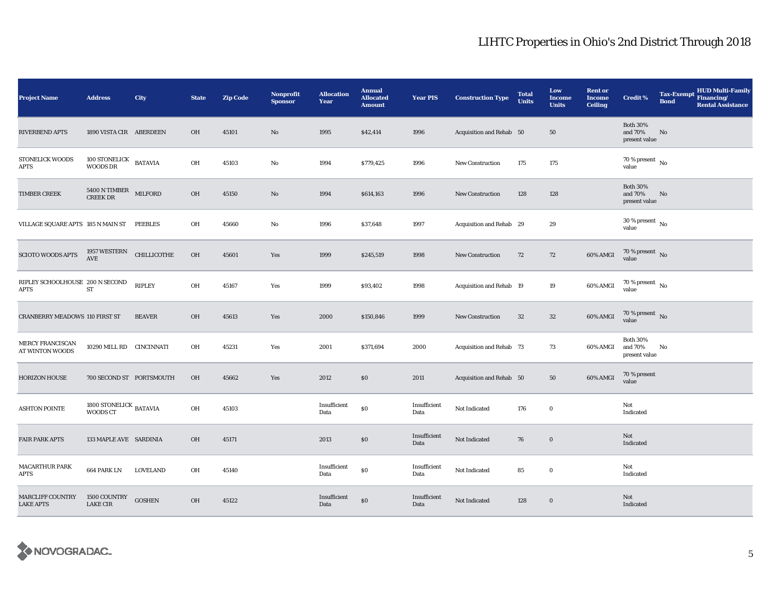| <b>Project Name</b>                               | <b>Address</b>                              | City               | <b>State</b> | <b>Zip Code</b> | <b>Nonprofit</b><br><b>Sponsor</b> | <b>Allocation</b><br><b>Year</b> | <b>Annual</b><br><b>Allocated</b><br><b>Amount</b> | <b>Year PIS</b>      | <b>Construction Type</b> | <b>Total</b><br><b>Units</b> | Low<br><b>Income</b><br><b>Units</b> | <b>Rent or</b><br><b>Income</b><br><b>Ceiling</b> | <b>Credit %</b>                             | <b>Tax-Exempt</b><br><b>Bond</b> | HUD Multi-Family<br>Financing/<br><b>Rental Assistance</b> |
|---------------------------------------------------|---------------------------------------------|--------------------|--------------|-----------------|------------------------------------|----------------------------------|----------------------------------------------------|----------------------|--------------------------|------------------------------|--------------------------------------|---------------------------------------------------|---------------------------------------------|----------------------------------|------------------------------------------------------------|
| <b>RIVERBEND APTS</b>                             | 1890 VISTA CIR ABERDEEN                     |                    | OH           | 45101           | No                                 | 1995                             | \$42,414                                           | 1996                 | Acquisition and Rehab 50 |                              | 50                                   |                                                   | <b>Both 30%</b><br>and 70%<br>present value | No                               |                                                            |
| STONELICK WOODS<br>APTS                           | $100$ STONELICK BATAVIA WOODS DR            |                    | OH           | 45103           | No                                 | 1994                             | \$779,425                                          | 1996                 | <b>New Construction</b>  | 175                          | 175                                  |                                                   | 70 % present $\,$ No $\,$<br>value          |                                  |                                                            |
| <b>TIMBER CREEK</b>                               | $5400$ N TIMBER $$\tt MILFORD$$ CREEK DR    |                    | OH           | 45150           | No                                 | 1994                             | \$614,163                                          | 1996                 | <b>New Construction</b>  | 128                          | 128                                  |                                                   | <b>Both 30%</b><br>and 70%<br>present value | No                               |                                                            |
| VILLAGE SQUARE APTS 185 N MAIN ST PEEBLES         |                                             |                    | OH           | 45660           | No                                 | 1996                             | \$37,648                                           | 1997                 | Acquisition and Rehab 29 |                              | 29                                   |                                                   | $30\,\%$ present $\,$ No $\,$<br>value      |                                  |                                                            |
| <b>SCIOTO WOODS APTS</b>                          | 1957 WESTERN<br>AVE                         | <b>CHILLICOTHE</b> | OH           | 45601           | Yes                                | 1999                             | \$245,519                                          | 1998                 | <b>New Construction</b>  | 72                           | 72                                   | 60% AMGI                                          | 70 % present $\hbox{~No}$<br>value          |                                  |                                                            |
| RIPLEY SCHOOLHOUSE 200 N SECOND<br><b>APTS</b>    | ${\rm ST}$                                  | <b>RIPLEY</b>      | OH           | 45167           | Yes                                | 1999                             | \$93,402                                           | 1998                 | Acquisition and Rehab 19 |                              | 19                                   | 60% AMGI                                          | 70 % present $\hbox{~No}$<br>value          |                                  |                                                            |
| CRANBERRY MEADOWS 110 FIRST ST                    |                                             | <b>BEAVER</b>      | <b>OH</b>    | 45613           | Yes                                | 2000                             | \$150,846                                          | 1999                 | <b>New Construction</b>  | 32                           | $32\,$                               | 60% AMGI                                          | 70 % present $\,$ No $\,$<br>value          |                                  |                                                            |
| <b>MERCY FRANCISCAN</b><br><b>AT WINTON WOODS</b> | 10290 MILL RD CINCINNATI                    |                    | OH           | 45231           | Yes                                | 2001                             | \$371,694                                          | 2000                 | Acquisition and Rehab 73 |                              | 73                                   | 60% AMGI                                          | <b>Both 30%</b><br>and 70%<br>present value | No                               |                                                            |
| <b>HORIZON HOUSE</b>                              | 700 SECOND ST PORTSMOUTH                    |                    | OH           | 45662           | Yes                                | 2012                             | \$0                                                | 2011                 | Acquisition and Rehab 50 |                              | 50                                   | 60% AMGI                                          | 70 % present<br>value                       |                                  |                                                            |
| <b>ASHTON POINTE</b>                              | 1800 STONELICK $_{\rm BATAVIA}$<br>WOODS CT |                    | OH           | 45103           |                                    | Insufficient<br>Data             | $\$0$                                              | Insufficient<br>Data | Not Indicated            | 176                          | $\bf{0}$                             |                                                   | Not<br>Indicated                            |                                  |                                                            |
| <b>FAIR PARK APTS</b>                             | 133 MAPLE AVE SARDINIA                      |                    | <b>OH</b>    | 45171           |                                    | 2013                             | \$0                                                | Insufficient<br>Data | Not Indicated            | 76                           | $\boldsymbol{0}$                     |                                                   | Not<br>Indicated                            |                                  |                                                            |
| <b>MACARTHUR PARK</b><br>APTS                     | 664 PARK LN                                 | <b>LOVELAND</b>    | OH           | 45140           |                                    | Insufficient<br>Data             | $\$0$                                              | Insufficient<br>Data | Not Indicated            | 85                           | $\bf{0}$                             |                                                   | Not<br>Indicated                            |                                  |                                                            |
| <b>MARCLIFF COUNTRY</b><br><b>LAKE APTS</b>       | 1500 COUNTRY<br><b>LAKE CIR</b>             | <b>GOSHEN</b>      | OH           | 45122           |                                    | Insufficient<br>Data             | $\$0$                                              | Insufficient<br>Data | Not Indicated            | 128                          | $\bf{0}$                             |                                                   | Not<br>Indicated                            |                                  |                                                            |

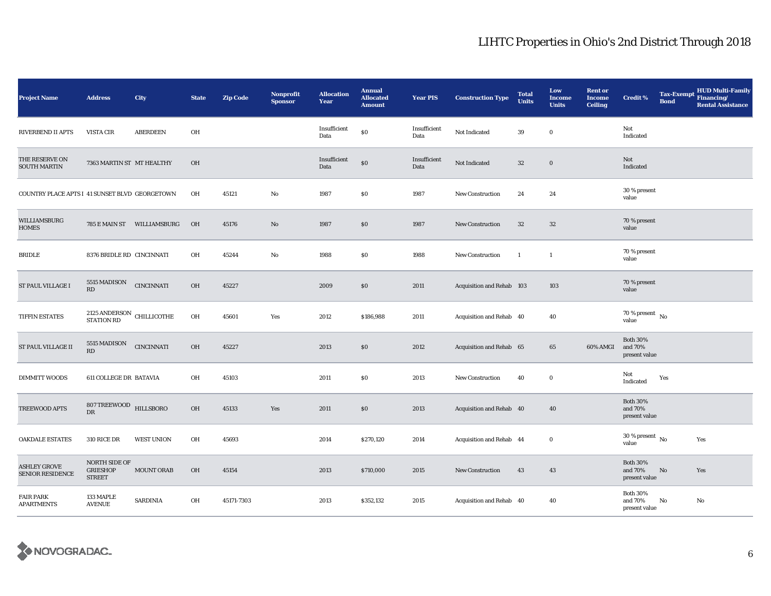| <b>Project Name</b>                            | <b>Address</b>                                           | City                       | <b>State</b> | <b>Zip Code</b> | Nonprofit<br><b>Sponsor</b> | <b>Allocation</b><br>Year | <b>Annual</b><br><b>Allocated</b><br><b>Amount</b> | <b>Year PIS</b>      | <b>Construction Type</b>  | <b>Total</b><br><b>Units</b> | Low<br><b>Income</b><br><b>Units</b> | <b>Rent or</b><br><b>Income</b><br><b>Ceiling</b> | Credit %                                    | <b>Bond</b> | <b>HUD Multi-Family</b><br>Tax-Exempt Financing/<br><b>Rental Assistance</b> |
|------------------------------------------------|----------------------------------------------------------|----------------------------|--------------|-----------------|-----------------------------|---------------------------|----------------------------------------------------|----------------------|---------------------------|------------------------------|--------------------------------------|---------------------------------------------------|---------------------------------------------|-------------|------------------------------------------------------------------------------|
| <b>RIVERBEND II APTS</b>                       | VISTA CIR                                                | <b>ABERDEEN</b>            | OH           |                 |                             | Insufficient<br>Data      | \$0                                                | Insufficient<br>Data | Not Indicated             | 39                           | $\bf{0}$                             |                                                   | Not<br>Indicated                            |             |                                                                              |
| THE RESERVE ON<br><b>SOUTH MARTIN</b>          | 7363 MARTIN ST MT HEALTHY                                |                            | <b>OH</b>    |                 |                             | Insufficient<br>Data      | \$0                                                | Insufficient<br>Data | Not Indicated             | $32\,$                       | $\mathbf 0$                          |                                                   | Not<br>Indicated                            |             |                                                                              |
| COUNTRY PLACE APTS I 41 SUNSET BLVD GEORGETOWN |                                                          |                            | OH           | 45121           | No                          | 1987                      | \$0                                                | 1987                 | <b>New Construction</b>   | 24                           | 24                                   |                                                   | 30 % present<br>value                       |             |                                                                              |
| WILLIAMSBURG<br><b>HOMES</b>                   |                                                          | 785 E MAIN ST WILLIAMSBURG | OH           | 45176           | No                          | 1987                      | \$0                                                | 1987                 | <b>New Construction</b>   | 32                           | $32\,$                               |                                                   | 70 % present<br>value                       |             |                                                                              |
| BRIDLE                                         | 8376 BRIDLE RD CINCINNATI                                |                            | OH           | 45244           | No                          | 1988                      | \$0                                                | 1988                 | <b>New Construction</b>   | $\mathbf{1}$                 | $\mathbf{1}$                         |                                                   | 70 % present<br>value                       |             |                                                                              |
| ST PAUL VILLAGE I                              | 5515 MADISON<br>RD                                       | <b>CINCINNATI</b>          | OH           | 45227           |                             | 2009                      | \$0                                                | 2011                 | Acquisition and Rehab 103 |                              | 103                                  |                                                   | 70 % present<br>value                       |             |                                                                              |
| <b>TIFFIN ESTATES</b>                          | $2125$ ANDERSON CHILLICOTHE STATION $\mathbb R\mathbb D$ |                            | OH           | 45601           | Yes                         | 2012                      | \$186,988                                          | 2011                 | Acquisition and Rehab 40  |                              | 40                                   |                                                   | $70\%$ present $\overline{N_0}$<br>value    |             |                                                                              |
| <b>ST PAUL VILLAGE II</b>                      | 5515 MADISON<br>RD                                       | <b>CINCINNATI</b>          | OH           | 45227           |                             | 2013                      | \$0                                                | 2012                 | Acquisition and Rehab 65  |                              | 65                                   | 60% AMGI                                          | <b>Both 30%</b><br>and 70%<br>present value |             |                                                                              |
| <b>DIMMITT WOODS</b>                           | <b>611 COLLEGE DR BATAVIA</b>                            |                            | OH           | 45103           |                             | 2011                      | \$0                                                | 2013                 | <b>New Construction</b>   | 40                           | $\bf{0}$                             |                                                   | Not<br>Indicated                            | Yes         |                                                                              |
| <b>TREEWOOD APTS</b>                           | 807 TREEWOOD HILLSBORO<br>${\rm DR}$                     |                            | OH           | 45133           | Yes                         | 2011                      | \$0                                                | 2013                 | Acquisition and Rehab 40  |                              | 40                                   |                                                   | <b>Both 30%</b><br>and 70%<br>present value |             |                                                                              |
| <b>OAKDALE ESTATES</b>                         | 310 RICE DR                                              | <b>WEST UNION</b>          | OH           | 45693           |                             | 2014                      | \$270,120                                          | 2014                 | Acquisition and Rehab 44  |                              | $\bf{0}$                             |                                                   | 30 % present $\,$ No $\,$<br>value          |             | Yes                                                                          |
| <b>ASHLEY GROVE</b><br>SENIOR RESIDENCE        | NORTH SIDE OF<br><b>GRIESHOP</b><br><b>STREET</b>        | <b>MOUNT ORAB</b>          | <b>OH</b>    | 45154           |                             | 2013                      | \$710,000                                          | 2015                 | <b>New Construction</b>   | 43                           | 43                                   |                                                   | <b>Both 30%</b><br>and 70%<br>present value | No          | Yes                                                                          |
| <b>FAIR PARK</b><br><b>APARTMENTS</b>          | 133 MAPLE<br><b>AVENUE</b>                               | <b>SARDINIA</b>            | OH           | 45171-7303      |                             | 2013                      | \$352,132                                          | 2015                 | Acquisition and Rehab 40  |                              | 40                                   |                                                   | <b>Both 30%</b><br>and 70%<br>present value | No          | No                                                                           |

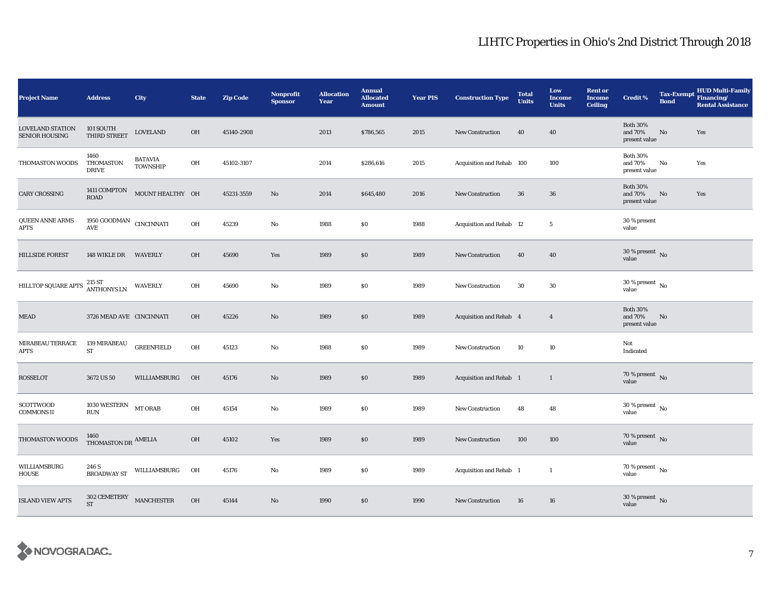| <b>Project Name</b>                              | <b>Address</b>                                       | City                              | <b>State</b> | <b>Zip Code</b> | <b>Nonprofit</b><br><b>Sponsor</b> | <b>Allocation</b><br>Year | <b>Annual</b><br><b>Allocated</b><br><b>Amount</b> | <b>Year PIS</b> | <b>Construction Type</b>  | <b>Total</b><br><b>Units</b> | Low<br><b>Income</b><br><b>Units</b> | <b>Rent or</b><br><b>Income</b><br><b>Ceiling</b> | <b>Credit %</b>                             | <b>Tax-Exempt</b><br><b>Bond</b> | <b>HUD Multi-Family</b><br>Financing/<br><b>Rental Assistance</b> |
|--------------------------------------------------|------------------------------------------------------|-----------------------------------|--------------|-----------------|------------------------------------|---------------------------|----------------------------------------------------|-----------------|---------------------------|------------------------------|--------------------------------------|---------------------------------------------------|---------------------------------------------|----------------------------------|-------------------------------------------------------------------|
| <b>LOVELAND STATION</b><br><b>SENIOR HOUSING</b> | 101 SOUTH<br>THIRD STREET                            | <b>LOVELAND</b>                   | OH           | 45140-2908      |                                    | 2013                      | \$786,565                                          | 2015            | <b>New Construction</b>   | 40                           | 40                                   |                                                   | <b>Both 30%</b><br>and 70%<br>present value | No                               | Yes                                                               |
| THOMASTON WOODS                                  | 1460<br><b>THOMASTON</b><br><b>DRIVE</b>             | <b>BATAVIA</b><br><b>TOWNSHIP</b> | OH           | 45102-3107      |                                    | 2014                      | \$286,616                                          | 2015            | Acquisition and Rehab 100 |                              | 100                                  |                                                   | <b>Both 30%</b><br>and 70%<br>present value | No                               | Yes                                                               |
| <b>CARY CROSSING</b>                             | 1411 COMPTON<br>ROAD                                 | MOUNT HEALTHY OH                  |              | 45231-3559      | No                                 | 2014                      | \$645,480                                          | 2016            | <b>New Construction</b>   | 36                           | 36                                   |                                                   | <b>Both 30%</b><br>and 70%<br>present value | No                               | Yes                                                               |
| <b>QUEEN ANNE ARMS</b><br>APTS                   | 1950 GOODMAN $\,$ CINCINNATI<br>$\operatorname{AVE}$ |                                   | OH           | 45239           | No                                 | 1988                      | \$0                                                | 1988            | Acquisition and Rehab 12  |                              | $5\phantom{.0}$                      |                                                   | 30 % present<br>value                       |                                  |                                                                   |
| <b>HILLSIDE FOREST</b>                           | 148 WIKLE DR WAVERLY                                 |                                   | OH           | 45690           | Yes                                | 1989                      | \$0                                                | 1989            | New Construction          | 40                           | 40                                   |                                                   | $30$ % present $\,$ No value                |                                  |                                                                   |
| HILLTOP SQUARE APTS                              | 215 ST<br>ANTHONYS LN                                | <b>WAVERLY</b>                    | OH           | 45690           | No                                 | 1989                      | \$0                                                | 1989            | <b>New Construction</b>   | 30                           | 30                                   |                                                   | $30$ % present $\,$ No $\,$<br>value        |                                  |                                                                   |
| <b>MEAD</b>                                      | 3726 MEAD AVE CINCINNATI                             |                                   | OH           | 45226           | No                                 | 1989                      | $\$0$                                              | 1989            | Acquisition and Rehab 4   |                              | $\overline{4}$                       |                                                   | <b>Both 30%</b><br>and 70%<br>present value | No                               |                                                                   |
| MIRABEAU TERRACE<br>APTS                         | <b>139 MIRABEAU</b><br><b>ST</b>                     | <b>GREENFIELD</b>                 | OH           | 45123           | No                                 | 1988                      | $\$0$                                              | 1989            | <b>New Construction</b>   | 10                           | 10                                   |                                                   | Not<br>Indicated                            |                                  |                                                                   |
| <b>ROSSELOT</b>                                  | 3672 US 50                                           | WILLIAMSBURG                      | OH           | 45176           | No                                 | 1989                      | \$0                                                | 1989            | Acquisition and Rehab 1   |                              | $\mathbf{1}$                         |                                                   | 70 % present $\,$ No $\,$<br>value          |                                  |                                                                   |
| <b>SCOTTWOOD</b><br><b>COMMONS II</b>            | 1030 WESTERN<br>RUN                                  | <b>MT ORAB</b>                    | OH           | 45154           | No                                 | 1989                      | $\$0$                                              | 1989            | <b>New Construction</b>   | 48                           | 48                                   |                                                   | $30$ % present $\,$ No $\,$<br>value        |                                  |                                                                   |
| THOMASTON WOODS                                  | 1460<br>THOMASTON DR AMELIA                          |                                   | OH           | 45102           | Yes                                | 1989                      | \$0                                                | 1989            | <b>New Construction</b>   | 100                          | 100                                  |                                                   | 70 % present $\bar{N}$ o<br>value           |                                  |                                                                   |
| WILLIAMSBURG<br><b>HOUSE</b>                     | 246 S<br><b>BROADWAY ST</b>                          | WILLIAMSBURG                      | OH           | 45176           | No                                 | 1989                      | $\$0$                                              | 1989            | Acquisition and Rehab 1   |                              | -1                                   |                                                   | $70$ % present $\,$ No $\,$<br>value        |                                  |                                                                   |
| <b>ISLAND VIEW APTS</b>                          | $302$ CEMETERY $$\tt MANCHESTER$$<br><b>ST</b>       |                                   | OH           | 45144           | No                                 | 1990                      | \$0\$                                              | 1990            | <b>New Construction</b>   | 16                           | 16                                   |                                                   | $30\,\%$ present $\,$ No value              |                                  |                                                                   |